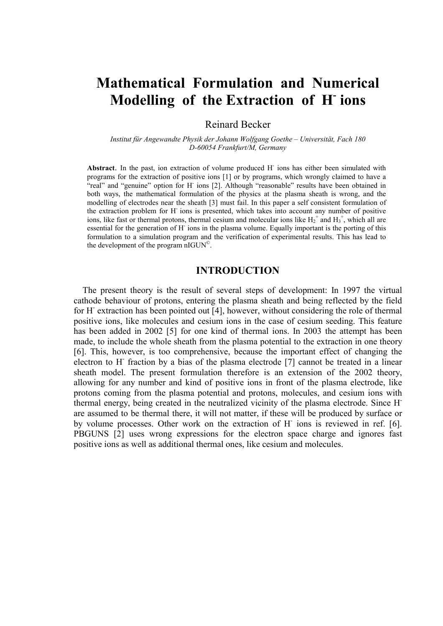# **Mathematical Formulation and Numerical Modelling of the Extraction of H- ions**

Reinard Becker

*Institut für Angewandte Physik der Johann Wolfgang Goethe – Universität, Fach 180 D-60054 Frankfurt/M, Germany* 

Abstract. In the past, ion extraction of volume produced H<sup>-</sup> ions has either been simulated with programs for the extraction of positive ions [1] or by programs, which wrongly claimed to have a "real" and "genuine" option for H ions [2]. Although "reasonable" results have been obtained in both ways, the mathematical formulation of the physics at the plasma sheath is wrong, and the modelling of electrodes near the sheath [3] must fail. In this paper a self consistent formulation of the extraction problem for H- ions is presented, which takes into account any number of positive ions, like fast or thermal protons, thermal cesium and molecular ions like  $H_2^+$  and  $H_3^+$ , which all are essential for the generation of H<sup>-</sup> ions in the plasma volume. Equally important is the porting of this formulation to a simulation program and the verification of experimental results. This has lead to the development of the program nIGUN©.

## **INTRODUCTION**

 The present theory is the result of several steps of development: In 1997 the virtual cathode behaviour of protons, entering the plasma sheath and being reflected by the field for H<sup>-</sup> extraction has been pointed out [4], however, without considering the role of thermal positive ions, like molecules and cesium ions in the case of cesium seeding. This feature has been added in 2002 [5] for one kind of thermal ions. In 2003 the attempt has been made, to include the whole sheath from the plasma potential to the extraction in one theory [6]. This, however, is too comprehensive, because the important effect of changing the electron to H<sup>-</sup> fraction by a bias of the plasma electrode [7] cannot be treated in a linear sheath model. The present formulation therefore is an extension of the 2002 theory, allowing for any number and kind of positive ions in front of the plasma electrode, like protons coming from the plasma potential and protons, molecules, and cesium ions with thermal energy, being created in the neutralized vicinity of the plasma electrode. Since Hare assumed to be thermal there, it will not matter, if these will be produced by surface or by volume processes. Other work on the extraction of H- ions is reviewed in ref. [6]. PBGUNS [2] uses wrong expressions for the electron space charge and ignores fast positive ions as well as additional thermal ones, like cesium and molecules.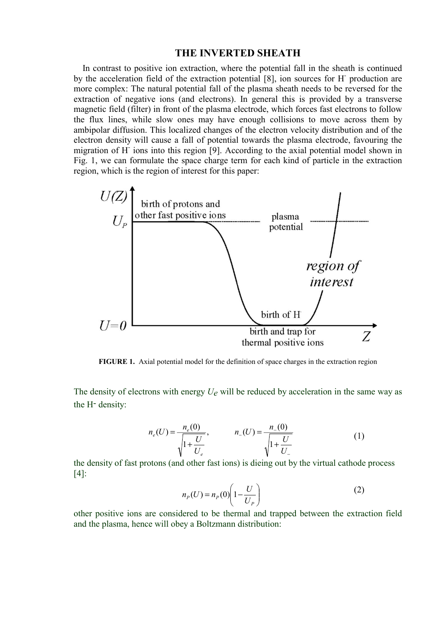### **THE INVERTED SHEATH**

 In contrast to positive ion extraction, where the potential fall in the sheath is continued by the acceleration field of the extraction potential [8], ion sources for H- production are more complex: The natural potential fall of the plasma sheath needs to be reversed for the extraction of negative ions (and electrons). In general this is provided by a transverse magnetic field (filter) in front of the plasma electrode, which forces fast electrons to follow the flux lines, while slow ones may have enough collisions to move across them by ambipolar diffusion. This localized changes of the electron velocity distribution and of the electron density will cause a fall of potential towards the plasma electrode, favouring the migration of H<sup>-</sup> ions into this region [9]. According to the axial potential model shown in Fig. 1, we can formulate the space charge term for each kind of particle in the extraction region, which is the region of interest for this paper:



**FIGURE 1.** Axial potential model for the definition of space charges in the extraction region

The density of electrons with energy *Ue* will be reduced by acceleration in the same way as the H- density:

$$
n_e(U) = \frac{n_e(0)}{\sqrt{1 + \frac{U}{U_e}}}, \qquad n_{-}(U) = \frac{n_{-}(0)}{\sqrt{1 + \frac{U}{U_{-}}}}
$$
(1)

the density of fast protons (and other fast ions) is dieing out by the virtual cathode process [4]:

$$
n_P(U) = n_P(0) \left( 1 - \frac{U}{U_P} \right) \tag{2}
$$

other positive ions are considered to be thermal and trapped between the extraction field and the plasma, hence will obey a Boltzmann distribution: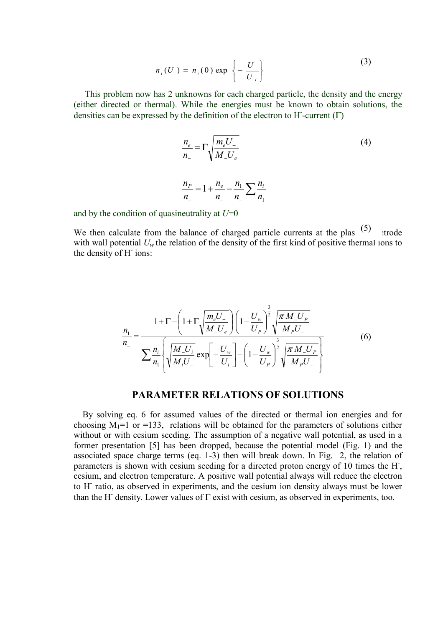$$
n_i(U) = n_i(0) \exp\left\{-\frac{U}{U_i}\right\}
$$
 (3)

 This problem now has 2 unknowns for each charged particle, the density and the energy (either directed or thermal). While the energies must be known to obtain solutions, the densities can be expressed by the definition of the electron to H-current  $( \Gamma )$ 

$$
\frac{n_e}{n_-} = \Gamma \sqrt{\frac{m_e U_-}{M_- U_e}}
$$
\n
$$
\frac{n_P}{n_-} = 1 + \frac{n_e}{n_-} - \frac{n_1}{n_-} \sum \frac{n_i}{n_1}
$$
\n(4)

and by the condition of quasineutrality at *U*=0

We then calculate from the balance of charged particle currents at the plas  $(5)$  trode with wall potential  $U_w$  the relation of the density of the first kind of positive thermal ions to the density of H- ions:

$$
\frac{n_{1}}{n_{-}} = \frac{1 + \Gamma - \left(1 + \Gamma \sqrt{\frac{m_{e}U_{-}}{M_{-}U_{e}}}\right) \left(1 - \frac{U_{w}}{U_{P}}\right)^{2} \sqrt{\frac{\pi M_{-}U_{P}}{M_{P}U_{-}}}}{\sum_{n_{1}} \frac{n_{1}}{M_{1}} \left\{\sqrt{\frac{M_{-}U_{i}}{M_{1}U_{-}}} \exp\left[-\frac{U_{w}}{U_{i}}\right] - \left(1 - \frac{U_{w}}{U_{P}}\right)^{2} \sqrt{\frac{\pi M_{-}U_{P}}{M_{P}U_{-}}}}\right\}
$$
(6)

### **PARAMETER RELATIONS OF SOLUTIONS**

 By solving eq. 6 for assumed values of the directed or thermal ion energies and for choosing  $M_1=1$  or  $=133$ , relations will be obtained for the parameters of solutions either without or with cesium seeding. The assumption of a negative wall potential, as used in a former presentation [5] has been dropped, because the potential model (Fig. 1) and the associated space charge terms (eq. 1-3) then will break down. In Fig. 2, the relation of parameters is shown with cesium seeding for a directed proton energy of 10 times the H, cesium, and electron temperature. A positive wall potential always will reduce the electron to H- ratio, as observed in experiments, and the cesium ion density always must be lower than the H- density. Lower values of Γ exist with cesium, as observed in experiments, too.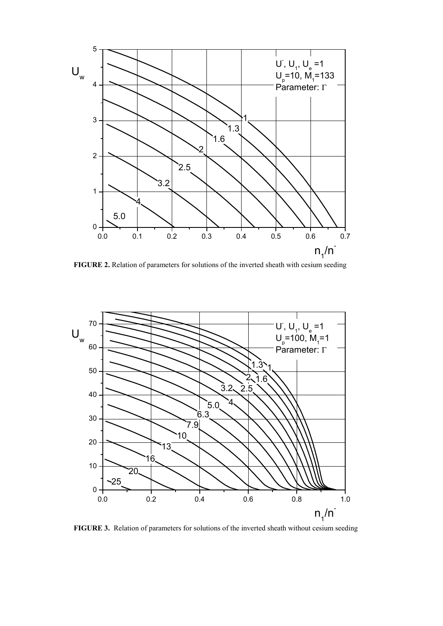

**FIGURE 2.** Relation of parameters for solutions of the inverted sheath with cesium seeding



**FIGURE 3.** Relation of parameters for solutions of the inverted sheath without cesium seeding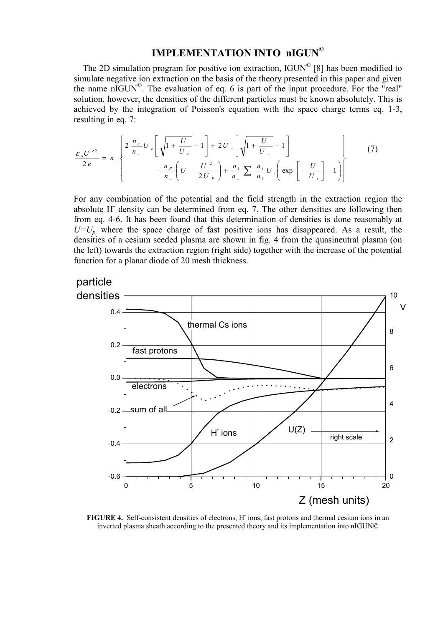# **IMPLEMENTATION INTO nIGUN©**

The 2D simulation program for positive ion extraction, IGUN<sup>©</sup> [8] has been modified to simulate negative ion extraction on the basis of the theory presented in this paper and given the name nIGUN©. The evaluation of eq. 6 is part of the input procedure. For the "real" solution, however, the densities of the different particles must be known absolutely. This is achieved by the integration of Poisson's equation with the space charge terms eq. 1-3, resulting in eq. 7:

$$
\frac{\varepsilon_{\rho} U^{\prime 2}}{2e} = n_{-} \left\{ 2 \frac{n_{e}}{n_{-}} U_{e} \left[ \sqrt{1 + \frac{U}{U_{e}}} - 1 \right] + 2U_{-} \left[ \sqrt{1 + \frac{U}{U_{-}}} - 1 \right] - \frac{n_{P}}{n_{-}} \left( U - \frac{U^{2}}{2U_{P}} \right) + \frac{n_{1}}{n_{-}} \sum_{n_{1}} \frac{n_{i}}{n_{1}} U_{i} \left( \exp \left[ -\frac{U}{U_{i}} \right] - 1 \right) \right\}
$$
(7)

For any combination of the potential and the field strength in the extraction region the absolute H<sup>-</sup> density can be determined from eq. 7. The other densities are following then from eq. 4-6. It has been found that this determination of densities is done reasonably at  $U=U_p$ , where the space charge of fast positive ions has disappeared. As a result, the densities of a cesium seeded plasma are shown in fig. 4 from the quasineutral plasma (on the left) towards the extraction region (right side) together with the increase of the potential function for a planar diode of 20 mesh thickness.



FIGURE 4. Self-consistent densities of electrons, H<sup>-</sup> ions, fast protons and thermal cesium ions in an inverted plasma sheath according to the presented theory and its implementation into nIGUN©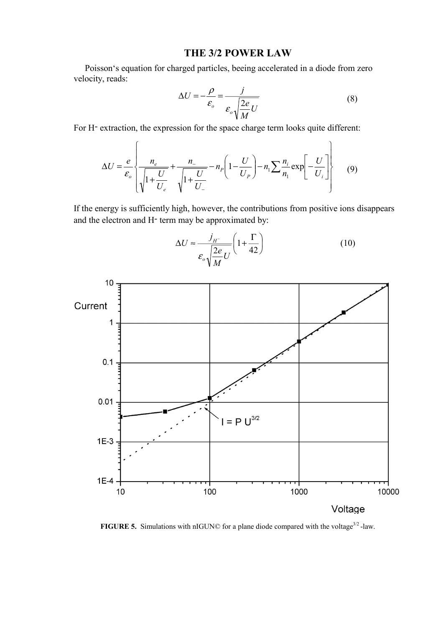#### **THE 3/2 POWER LAW**

 Poisson's equation for charged particles, beeing accelerated in a diode from zero velocity, reads:

$$
\Delta U = -\frac{\rho}{\varepsilon_o} = \frac{j}{\varepsilon_o \sqrt{\frac{2e}{M}U}}
$$
(8)

For H- extraction, the expression for the space charge term looks quite different:

$$
\Delta U = \frac{e}{\varepsilon_o} \left\{ \frac{n_e}{\sqrt{1 + \frac{U}{U_e}}} + \frac{n_{-}}{\sqrt{1 + \frac{U}{U_-}}} - n_P \left( 1 - \frac{U}{U_P} \right) - n_1 \sum \frac{n_i}{n_1} \exp\left[ -\frac{U}{U_i} \right] \right\} \tag{9}
$$

If the energy is sufficiently high, however, the contributions from positive ions disappears and the electron and H- term may be approximated by:



 $\overline{\phantom{a}}$ J  $\left(1+\frac{\Gamma}{42}\right)$  $\setminus$  $\Delta U \approx \frac{J_H}{\sqrt{1-\frac{v^2}{c^2}}} \left(1+\frac{\Gamma}{4\pi}\right)$ 42 1  $\frac{2e}{\sqrt{U}}U$ *M e*  $U \approx \frac{j}{j}$ *o H* ε (10)

**FIGURE 5.** Simulations with nIGUN© for a plane diode compared with the voltage<sup>3/2</sup> -law.